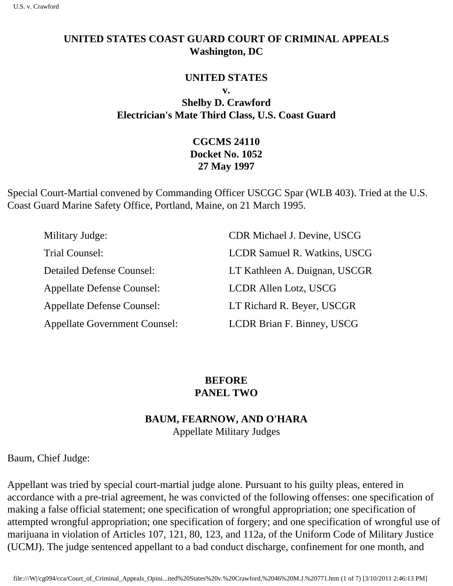## **UNITED STATES COAST GUARD COURT OF CRIMINAL APPEALS Washington, DC**

### **UNITED STATES**

**v.** 

**Shelby D. Crawford Electrician's Mate Third Class, U.S. Coast Guard** 

# **CGCMS 24110 Docket No. 1052 27 May 1997**

Special Court-Martial convened by Commanding Officer USCGC Spar (WLB 403). Tried at the U.S. Coast Guard Marine Safety Office, Portland, Maine, on 21 March 1995.

| Military Judge:                      | <b>CDR Michael J. Devine, USCG</b>  |
|--------------------------------------|-------------------------------------|
| Trial Counsel:                       | <b>LCDR Samuel R. Watkins, USCG</b> |
| <b>Detailed Defense Counsel:</b>     | LT Kathleen A. Duignan, USCGR       |
| <b>Appellate Defense Counsel:</b>    | LCDR Allen Lotz, USCG               |
| <b>Appellate Defense Counsel:</b>    | LT Richard R. Beyer, USCGR          |
| <b>Appellate Government Counsel:</b> | LCDR Brian F. Binney, USCG          |

## **BEFORE PANEL TWO**

## **BAUM, FEARNOW, AND O'HARA** Appellate Military Judges

Baum, Chief Judge:

Appellant was tried by special court-martial judge alone. Pursuant to his guilty pleas, entered in accordance with a pre-trial agreement, he was convicted of the following offenses: one specification of making a false official statement; one specification of wrongful appropriation; one specification of attempted wrongful appropriation; one specification of forgery; and one specification of wrongful use of marijuana in violation of Articles 107, 121, 80, 123, and 112a, of the Uniform Code of Military Justice (UCMJ). The judge sentenced appellant to a bad conduct discharge, confinement for one month, and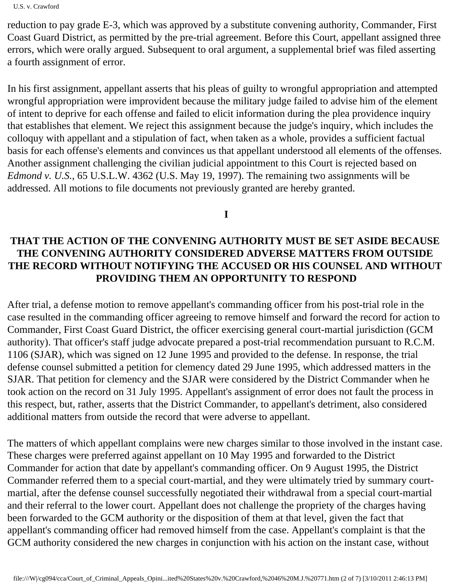U.S. v. Crawford

reduction to pay grade E-3, which was approved by a substitute convening authority, Commander, First Coast Guard District, as permitted by the pre-trial agreement. Before this Court, appellant assigned three errors, which were orally argued. Subsequent to oral argument, a supplemental brief was filed asserting a fourth assignment of error.

In his first assignment, appellant asserts that his pleas of guilty to wrongful appropriation and attempted wrongful appropriation were improvident because the military judge failed to advise him of the element of intent to deprive for each offense and failed to elicit information during the plea providence inquiry that establishes that element. We reject this assignment because the judge's inquiry, which includes the colloquy with appellant and a stipulation of fact, when taken as a whole, provides a sufficient factual basis for each offense's elements and convinces us that appellant understood all elements of the offenses. Another assignment challenging the civilian judicial appointment to this Court is rejected based on *Edmond v. U.S.*, 65 U.S.L.W. 4362 (U.S. May 19, 1997). The remaining two assignments will be addressed. All motions to file documents not previously granted are hereby granted.

**I** 

# **THAT THE ACTION OF THE CONVENING AUTHORITY MUST BE SET ASIDE BECAUSE THE CONVENING AUTHORITY CONSIDERED ADVERSE MATTERS FROM OUTSIDE THE RECORD WITHOUT NOTIFYING THE ACCUSED OR HIS COUNSEL AND WITHOUT PROVIDING THEM AN OPPORTUNITY TO RESPOND**

After trial, a defense motion to remove appellant's commanding officer from his post-trial role in the case resulted in the commanding officer agreeing to remove himself and forward the record for action to Commander, First Coast Guard District, the officer exercising general court-martial jurisdiction (GCM authority). That officer's staff judge advocate prepared a post-trial recommendation pursuant to R.C.M. 1106 (SJAR), which was signed on 12 June 1995 and provided to the defense. In response, the trial defense counsel submitted a petition for clemency dated 29 June 1995, which addressed matters in the SJAR. That petition for clemency and the SJAR were considered by the District Commander when he took action on the record on 31 July 1995. Appellant's assignment of error does not fault the process in this respect, but, rather, asserts that the District Commander, to appellant's detriment, also considered additional matters from outside the record that were adverse to appellant.

The matters of which appellant complains were new charges similar to those involved in the instant case. These charges were preferred against appellant on 10 May 1995 and forwarded to the District Commander for action that date by appellant's commanding officer. On 9 August 1995, the District Commander referred them to a special court-martial, and they were ultimately tried by summary courtmartial, after the defense counsel successfully negotiated their withdrawal from a special court-martial and their referral to the lower court. Appellant does not challenge the propriety of the charges having been forwarded to the GCM authority or the disposition of them at that level, given the fact that appellant's commanding officer had removed himself from the case. Appellant's complaint is that the GCM authority considered the new charges in conjunction with his action on the instant case, without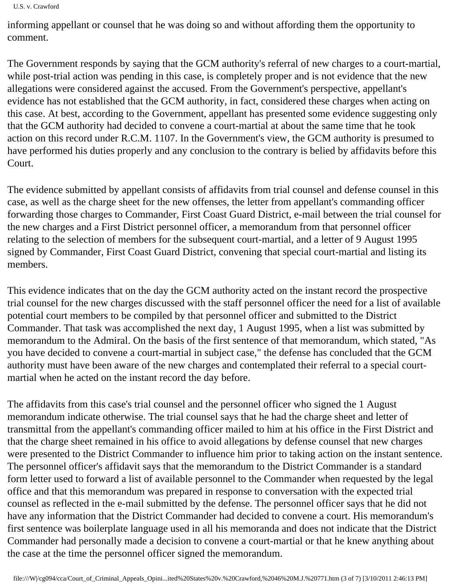U.S. v. Crawford

informing appellant or counsel that he was doing so and without affording them the opportunity to comment.

The Government responds by saying that the GCM authority's referral of new charges to a court-martial, while post-trial action was pending in this case, is completely proper and is not evidence that the new allegations were considered against the accused. From the Government's perspective, appellant's evidence has not established that the GCM authority, in fact, considered these charges when acting on this case. At best, according to the Government, appellant has presented some evidence suggesting only that the GCM authority had decided to convene a court-martial at about the same time that he took action on this record under R.C.M. 1107. In the Government's view, the GCM authority is presumed to have performed his duties properly and any conclusion to the contrary is belied by affidavits before this Court.

The evidence submitted by appellant consists of affidavits from trial counsel and defense counsel in this case, as well as the charge sheet for the new offenses, the letter from appellant's commanding officer forwarding those charges to Commander, First Coast Guard District, e-mail between the trial counsel for the new charges and a First District personnel officer, a memorandum from that personnel officer relating to the selection of members for the subsequent court-martial, and a letter of 9 August 1995 signed by Commander, First Coast Guard District, convening that special court-martial and listing its members.

This evidence indicates that on the day the GCM authority acted on the instant record the prospective trial counsel for the new charges discussed with the staff personnel officer the need for a list of available potential court members to be compiled by that personnel officer and submitted to the District Commander. That task was accomplished the next day, 1 August 1995, when a list was submitted by memorandum to the Admiral. On the basis of the first sentence of that memorandum, which stated, "As you have decided to convene a court-martial in subject case," the defense has concluded that the GCM authority must have been aware of the new charges and contemplated their referral to a special courtmartial when he acted on the instant record the day before.

The affidavits from this case's trial counsel and the personnel officer who signed the 1 August memorandum indicate otherwise. The trial counsel says that he had the charge sheet and letter of transmittal from the appellant's commanding officer mailed to him at his office in the First District and that the charge sheet remained in his office to avoid allegations by defense counsel that new charges were presented to the District Commander to influence him prior to taking action on the instant sentence. The personnel officer's affidavit says that the memorandum to the District Commander is a standard form letter used to forward a list of available personnel to the Commander when requested by the legal office and that this memorandum was prepared in response to conversation with the expected trial counsel as reflected in the e-mail submitted by the defense. The personnel officer says that he did not have any information that the District Commander had decided to convene a court. His memorandum's first sentence was boilerplate language used in all his memoranda and does not indicate that the District Commander had personally made a decision to convene a court-martial or that he knew anything about the case at the time the personnel officer signed the memorandum.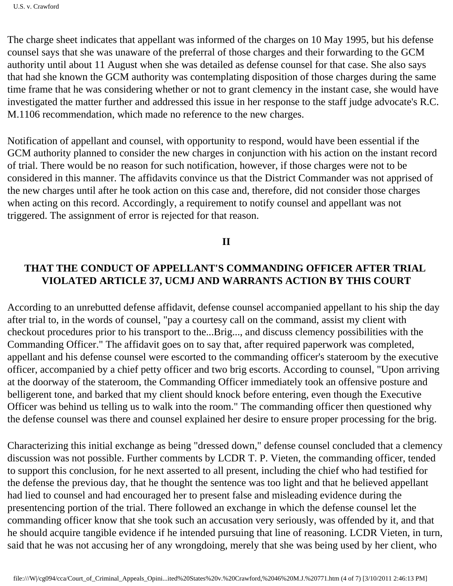U.S. v. Crawford

The charge sheet indicates that appellant was informed of the charges on 10 May 1995, but his defense counsel says that she was unaware of the preferral of those charges and their forwarding to the GCM authority until about 11 August when she was detailed as defense counsel for that case. She also says that had she known the GCM authority was contemplating disposition of those charges during the same time frame that he was considering whether or not to grant clemency in the instant case, she would have investigated the matter further and addressed this issue in her response to the staff judge advocate's R.C. M.1106 recommendation, which made no reference to the new charges.

Notification of appellant and counsel, with opportunity to respond, would have been essential if the GCM authority planned to consider the new charges in conjunction with his action on the instant record of trial. There would be no reason for such notification, however, if those charges were not to be considered in this manner. The affidavits convince us that the District Commander was not apprised of the new charges until after he took action on this case and, therefore, did not consider those charges when acting on this record. Accordingly, a requirement to notify counsel and appellant was not triggered. The assignment of error is rejected for that reason.

**II** 

## **THAT THE CONDUCT OF APPELLANT'S COMMANDING OFFICER AFTER TRIAL VIOLATED ARTICLE 37, UCMJ AND WARRANTS ACTION BY THIS COURT**

According to an unrebutted defense affidavit, defense counsel accompanied appellant to his ship the day after trial to, in the words of counsel, "pay a courtesy call on the command, assist my client with checkout procedures prior to his transport to the...Brig..., and discuss clemency possibilities with the Commanding Officer." The affidavit goes on to say that, after required paperwork was completed, appellant and his defense counsel were escorted to the commanding officer's stateroom by the executive officer, accompanied by a chief petty officer and two brig escorts. According to counsel, "Upon arriving at the doorway of the stateroom, the Commanding Officer immediately took an offensive posture and belligerent tone, and barked that my client should knock before entering, even though the Executive Officer was behind us telling us to walk into the room." The commanding officer then questioned why the defense counsel was there and counsel explained her desire to ensure proper processing for the brig.

Characterizing this initial exchange as being "dressed down," defense counsel concluded that a clemency discussion was not possible. Further comments by LCDR T. P. Vieten, the commanding officer, tended to support this conclusion, for he next asserted to all present, including the chief who had testified for the defense the previous day, that he thought the sentence was too light and that he believed appellant had lied to counsel and had encouraged her to present false and misleading evidence during the presentencing portion of the trial. There followed an exchange in which the defense counsel let the commanding officer know that she took such an accusation very seriously, was offended by it, and that he should acquire tangible evidence if he intended pursuing that line of reasoning. LCDR Vieten, in turn, said that he was not accusing her of any wrongdoing, merely that she was being used by her client, who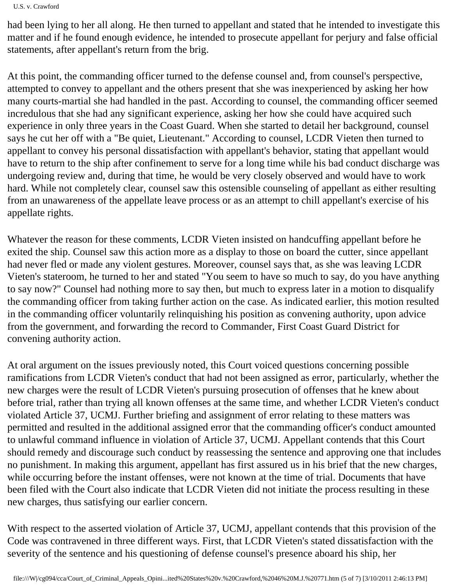U.S. v. Crawford

had been lying to her all along. He then turned to appellant and stated that he intended to investigate this matter and if he found enough evidence, he intended to prosecute appellant for perjury and false official statements, after appellant's return from the brig.

At this point, the commanding officer turned to the defense counsel and, from counsel's perspective, attempted to convey to appellant and the others present that she was inexperienced by asking her how many courts-martial she had handled in the past. According to counsel, the commanding officer seemed incredulous that she had any significant experience, asking her how she could have acquired such experience in only three years in the Coast Guard. When she started to detail her background, counsel says he cut her off with a "Be quiet, Lieutenant." According to counsel, LCDR Vieten then turned to appellant to convey his personal dissatisfaction with appellant's behavior, stating that appellant would have to return to the ship after confinement to serve for a long time while his bad conduct discharge was undergoing review and, during that time, he would be very closely observed and would have to work hard. While not completely clear, counsel saw this ostensible counseling of appellant as either resulting from an unawareness of the appellate leave process or as an attempt to chill appellant's exercise of his appellate rights.

Whatever the reason for these comments, LCDR Vieten insisted on handcuffing appellant before he exited the ship. Counsel saw this action more as a display to those on board the cutter, since appellant had never fled or made any violent gestures. Moreover, counsel says that, as she was leaving LCDR Vieten's stateroom, he turned to her and stated "You seem to have so much to say, do you have anything to say now?" Counsel had nothing more to say then, but much to express later in a motion to disqualify the commanding officer from taking further action on the case. As indicated earlier, this motion resulted in the commanding officer voluntarily relinquishing his position as convening authority, upon advice from the government, and forwarding the record to Commander, First Coast Guard District for convening authority action.

At oral argument on the issues previously noted, this Court voiced questions concerning possible ramifications from LCDR Vieten's conduct that had not been assigned as error, particularly, whether the new charges were the result of LCDR Vieten's pursuing prosecution of offenses that he knew about before trial, rather than trying all known offenses at the same time, and whether LCDR Vieten's conduct violated Article 37, UCMJ. Further briefing and assignment of error relating to these matters was permitted and resulted in the additional assigned error that the commanding officer's conduct amounted to unlawful command influence in violation of Article 37, UCMJ. Appellant contends that this Court should remedy and discourage such conduct by reassessing the sentence and approving one that includes no punishment. In making this argument, appellant has first assured us in his brief that the new charges, while occurring before the instant offenses, were not known at the time of trial. Documents that have been filed with the Court also indicate that LCDR Vieten did not initiate the process resulting in these new charges, thus satisfying our earlier concern.

With respect to the asserted violation of Article 37, UCMJ, appellant contends that this provision of the Code was contravened in three different ways. First, that LCDR Vieten's stated dissatisfaction with the severity of the sentence and his questioning of defense counsel's presence aboard his ship, her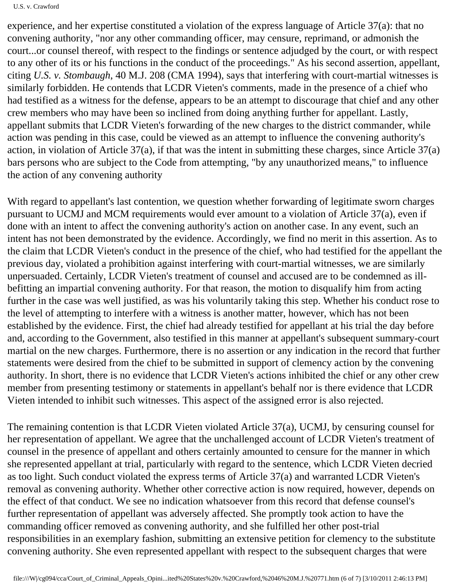#### U.S. v. Crawford

experience, and her expertise constituted a violation of the express language of Article 37(a): that no convening authority, "nor any other commanding officer, may censure, reprimand, or admonish the court...or counsel thereof, with respect to the findings or sentence adjudged by the court, or with respect to any other of its or his functions in the conduct of the proceedings." As his second assertion, appellant, citing *U.S. v. Stombaugh*, 40 M.J. 208 (CMA 1994), says that interfering with court-martial witnesses is similarly forbidden. He contends that LCDR Vieten's comments, made in the presence of a chief who had testified as a witness for the defense, appears to be an attempt to discourage that chief and any other crew members who may have been so inclined from doing anything further for appellant. Lastly, appellant submits that LCDR Vieten's forwarding of the new charges to the district commander, while action was pending in this case, could be viewed as an attempt to influence the convening authority's action, in violation of Article 37(a), if that was the intent in submitting these charges, since Article 37(a) bars persons who are subject to the Code from attempting, "by any unauthorized means," to influence the action of any convening authority

With regard to appellant's last contention, we question whether forwarding of legitimate sworn charges pursuant to UCMJ and MCM requirements would ever amount to a violation of Article 37(a), even if done with an intent to affect the convening authority's action on another case. In any event, such an intent has not been demonstrated by the evidence. Accordingly, we find no merit in this assertion. As to the claim that LCDR Vieten's conduct in the presence of the chief, who had testified for the appellant the previous day, violated a prohibition against interfering with court-martial witnesses, we are similarly unpersuaded. Certainly, LCDR Vieten's treatment of counsel and accused are to be condemned as illbefitting an impartial convening authority. For that reason, the motion to disqualify him from acting further in the case was well justified, as was his voluntarily taking this step. Whether his conduct rose to the level of attempting to interfere with a witness is another matter, however, which has not been established by the evidence. First, the chief had already testified for appellant at his trial the day before and, according to the Government, also testified in this manner at appellant's subsequent summary-court martial on the new charges. Furthermore, there is no assertion or any indication in the record that further statements were desired from the chief to be submitted in support of clemency action by the convening authority. In short, there is no evidence that LCDR Vieten's actions inhibited the chief or any other crew member from presenting testimony or statements in appellant's behalf nor is there evidence that LCDR Vieten intended to inhibit such witnesses. This aspect of the assigned error is also rejected.

The remaining contention is that LCDR Vieten violated Article 37(a), UCMJ, by censuring counsel for her representation of appellant. We agree that the unchallenged account of LCDR Vieten's treatment of counsel in the presence of appellant and others certainly amounted to censure for the manner in which she represented appellant at trial, particularly with regard to the sentence, which LCDR Vieten decried as too light. Such conduct violated the express terms of Article 37(a) and warranted LCDR Vieten's removal as convening authority. Whether other corrective action is now required, however, depends on the effect of that conduct. We see no indication whatsoever from this record that defense counsel's further representation of appellant was adversely affected. She promptly took action to have the commanding officer removed as convening authority, and she fulfilled her other post-trial responsibilities in an exemplary fashion, submitting an extensive petition for clemency to the substitute convening authority. She even represented appellant with respect to the subsequent charges that were